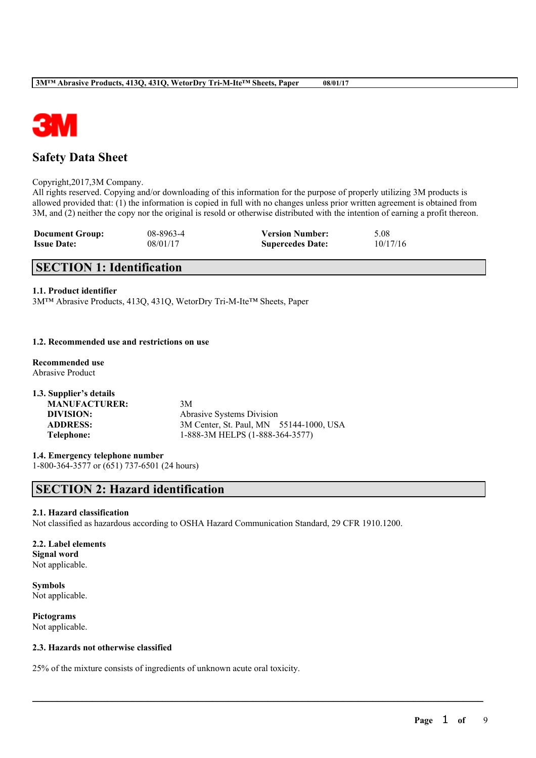

# **Safety Data Sheet**

### Copyright,2017,3M Company.

All rights reserved. Copying and/or downloading of this information for the purpose of properly utilizing 3M products is allowed provided that: (1) the information is copied in full with no changes unless prior written agreement is obtained from 3M, and (2) neither the copy nor the original is resold or otherwise distributed with the intention of earning a profit thereon.

| <b>Document Group:</b> | 08-8963-4 | <b>Version Number:</b>  | 5.08     |
|------------------------|-----------|-------------------------|----------|
| <b>Issue Date:</b>     | 08/01/17  | <b>Supercedes Date:</b> | 10/17/16 |

# **SECTION 1: Identification**

### **1.1. Product identifier**

3M™ Abrasive Products, 413Q, 431Q, WetorDry Tri-M-Ite™ Sheets, Paper

### **1.2. Recommended use and restrictions on use**

### **Recommended use** Abrasive Product

| Abrasive Systems Division               |
|-----------------------------------------|
| 3M Center, St. Paul, MN 55144-1000, USA |
| 1-888-3M HELPS (1-888-364-3577)         |
| 3M                                      |

### **1.4. Emergency telephone number** 1-800-364-3577 or (651) 737-6501 (24 hours)

# **SECTION 2: Hazard identification**

### **2.1. Hazard classification**

Not classified as hazardous according to OSHA Hazard Communication Standard, 29 CFR 1910.1200.

 $\mathcal{L}_\mathcal{L} = \mathcal{L}_\mathcal{L} = \mathcal{L}_\mathcal{L} = \mathcal{L}_\mathcal{L} = \mathcal{L}_\mathcal{L} = \mathcal{L}_\mathcal{L} = \mathcal{L}_\mathcal{L} = \mathcal{L}_\mathcal{L} = \mathcal{L}_\mathcal{L} = \mathcal{L}_\mathcal{L} = \mathcal{L}_\mathcal{L} = \mathcal{L}_\mathcal{L} = \mathcal{L}_\mathcal{L} = \mathcal{L}_\mathcal{L} = \mathcal{L}_\mathcal{L} = \mathcal{L}_\mathcal{L} = \mathcal{L}_\mathcal{L}$ 

### **2.2. Label elements Signal word**

Not applicable.

**Symbols** Not applicable.

### **Pictograms** Not applicable.

### **2.3. Hazards not otherwise classified**

25% of the mixture consists of ingredients of unknown acute oral toxicity.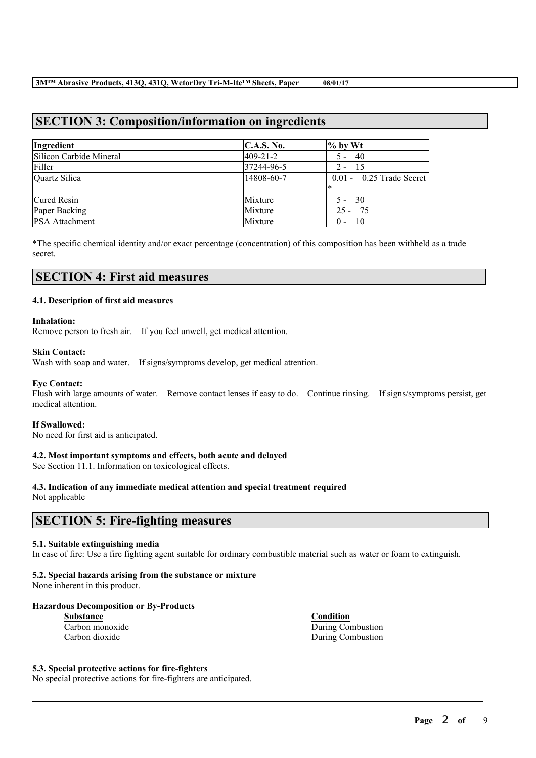# **SECTION 3: Composition/information on ingredients**

| Ingredient              | C.A.S. No.     | $\%$ by Wt                 |
|-------------------------|----------------|----------------------------|
| Silicon Carbide Mineral | $409 - 21 - 2$ | $5 - 40$                   |
| Filler                  | 37244-96-5     | $2 - 15$                   |
| Quartz Silica           | 14808-60-7     | $0.01 - 0.25$ Trade Secret |
|                         |                | l∗                         |
| Cured Resin             | Mixture        | $5 - 30$                   |
| Paper Backing           | Mixture        | $25 - 75$                  |
| <b>PSA</b> Attachment   | Mixture        | - 10<br>$0 -$              |

\*The specific chemical identity and/or exact percentage (concentration) of this composition has been withheld as a trade secret.

### **SECTION 4: First aid measures**

### **4.1. Description of first aid measures**

### **Inhalation:**

Remove person to fresh air. If you feel unwell, get medical attention.

### **Skin Contact:**

Wash with soap and water. If signs/symptoms develop, get medical attention.

### **Eye Contact:**

Flush with large amounts of water. Remove contact lenses if easy to do. Continue rinsing. If signs/symptoms persist, get medical attention.

### **If Swallowed:**

No need for first aid is anticipated.

### **4.2. Most important symptoms and effects, both acute and delayed**

See Section 11.1. Information on toxicological effects.

### **4.3. Indication of any immediate medical attention and special treatment required**

Not applicable

### **SECTION 5: Fire-fighting measures**

### **5.1. Suitable extinguishing media**

In case of fire: Use a fire fighting agent suitable for ordinary combustible material such as water or foam to extinguish.

 $\mathcal{L}_\mathcal{L} = \mathcal{L}_\mathcal{L} = \mathcal{L}_\mathcal{L} = \mathcal{L}_\mathcal{L} = \mathcal{L}_\mathcal{L} = \mathcal{L}_\mathcal{L} = \mathcal{L}_\mathcal{L} = \mathcal{L}_\mathcal{L} = \mathcal{L}_\mathcal{L} = \mathcal{L}_\mathcal{L} = \mathcal{L}_\mathcal{L} = \mathcal{L}_\mathcal{L} = \mathcal{L}_\mathcal{L} = \mathcal{L}_\mathcal{L} = \mathcal{L}_\mathcal{L} = \mathcal{L}_\mathcal{L} = \mathcal{L}_\mathcal{L}$ 

### **5.2. Special hazards arising from the substance or mixture**

None inherent in this product.

### **Hazardous Decomposition or By-Products**

| Substance       |  |  |
|-----------------|--|--|
| Carbon monoxide |  |  |
| Carbon dioxide  |  |  |

**Substance Condition** During Combustion During Combustion

#### **5.3. Special protective actions for fire-fighters**

No special protective actions for fire-fighters are anticipated.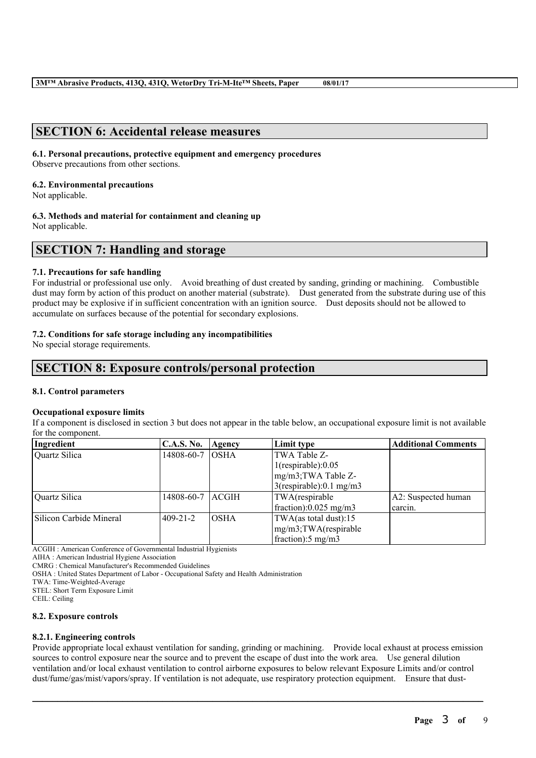### **SECTION 6: Accidental release measures**

### **6.1. Personal precautions, protective equipment and emergency procedures**

Observe precautions from other sections.

### **6.2. Environmental precautions**

Not applicable.

### **6.3. Methods and material for containment and cleaning up**

Not applicable.

# **SECTION 7: Handling and storage**

### **7.1. Precautions for safe handling**

For industrial or professional use only. Avoid breathing of dust created by sanding, grinding or machining. Combustible dust may form by action of this product on another material (substrate). Dust generated from the substrate during use of this product may be explosive if in sufficient concentration with an ignition source. Dust deposits should not be allowed to accumulate on surfaces because of the potential for secondary explosions.

### **7.2. Conditions for safe storage including any incompatibilities**

No special storage requirements.

### **SECTION 8: Exposure controls/personal protection**

### **8.1. Control parameters**

### **Occupational exposure limits**

If a component is disclosed in section 3 but does not appear in the table below, an occupational exposure limit is not available for the component.

| Ingredient              | <b>C.A.S. No.</b> | Agency        | Limit type                     | <b>Additional Comments</b> |
|-------------------------|-------------------|---------------|--------------------------------|----------------------------|
| Quartz Silica           | 14808-60-7        | <b>OSHA</b>   | TWA Table Z-                   |                            |
|                         |                   |               | $1$ (respirable): $0.05$       |                            |
|                         |                   |               | mg/m3;TWA Table Z-             |                            |
|                         |                   |               | $3$ (respirable):0.1 mg/m3     |                            |
| Quartz Silica           | 14808-60-7        | <b>LACGIH</b> | TWA(respirable                 | A2: Suspected human        |
|                         |                   |               | fraction): $0.025$ mg/m3       | carcin.                    |
| Silicon Carbide Mineral | $409 - 21 - 2$    | <b>IOSHA</b>  | TWA(as total dust):15          |                            |
|                         |                   |               | mg/m3;TWA(respirable           |                            |
|                         |                   |               | $frac{1}{2}$ fraction: 5 mg/m3 |                            |

ACGIH : American Conference of Governmental Industrial Hygienists

AIHA : American Industrial Hygiene Association

CMRG : Chemical Manufacturer's Recommended Guidelines

OSHA : United States Department of Labor - Occupational Safety and Health Administration

TWA: Time-Weighted-Average

STEL: Short Term Exposure Limit

CEIL: Ceiling

### **8.2. Exposure controls**

### **8.2.1. Engineering controls**

Provide appropriate local exhaust ventilation for sanding, grinding or machining. Provide local exhaust at process emission sources to control exposure near the source and to prevent the escape of dust into the work area. Use general dilution ventilation and/or local exhaust ventilation to control airborne exposures to below relevant Exposure Limits and/or control dust/fume/gas/mist/vapors/spray. If ventilation is not adequate, use respiratory protection equipment. Ensure that dust-

 $\mathcal{L}_\mathcal{L} = \mathcal{L}_\mathcal{L} = \mathcal{L}_\mathcal{L} = \mathcal{L}_\mathcal{L} = \mathcal{L}_\mathcal{L} = \mathcal{L}_\mathcal{L} = \mathcal{L}_\mathcal{L} = \mathcal{L}_\mathcal{L} = \mathcal{L}_\mathcal{L} = \mathcal{L}_\mathcal{L} = \mathcal{L}_\mathcal{L} = \mathcal{L}_\mathcal{L} = \mathcal{L}_\mathcal{L} = \mathcal{L}_\mathcal{L} = \mathcal{L}_\mathcal{L} = \mathcal{L}_\mathcal{L} = \mathcal{L}_\mathcal{L}$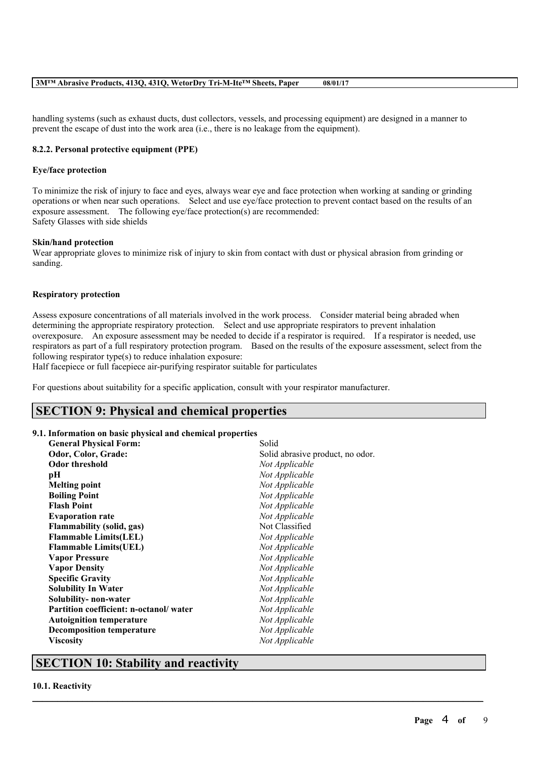handling systems (such as exhaust ducts, dust collectors, vessels, and processing equipment) are designed in a manner to prevent the escape of dust into the work area (i.e., there is no leakage from the equipment).

### **8.2.2. Personal protective equipment (PPE)**

### **Eye/face protection**

To minimize the risk of injury to face and eyes, always wear eye and face protection when working at sanding or grinding operations or when near such operations. Select and use eye/face protection to prevent contact based on the results of an exposure assessment. The following eye/face protection(s) are recommended: Safety Glasses with side shields

### **Skin/hand protection**

Wear appropriate gloves to minimize risk of injury to skin from contact with dust or physical abrasion from grinding or sanding.

### **Respiratory protection**

Assess exposure concentrations of all materials involved in the work process. Consider material being abraded when determining the appropriate respiratory protection. Select and use appropriate respirators to prevent inhalation overexposure. An exposure assessment may be needed to decide if a respirator is required. If a respirator is needed, use respirators as part of a full respiratory protection program. Based on the results of the exposure assessment, select from the following respirator type(s) to reduce inhalation exposure:

 $\mathcal{L}_\mathcal{L} = \mathcal{L}_\mathcal{L} = \mathcal{L}_\mathcal{L} = \mathcal{L}_\mathcal{L} = \mathcal{L}_\mathcal{L} = \mathcal{L}_\mathcal{L} = \mathcal{L}_\mathcal{L} = \mathcal{L}_\mathcal{L} = \mathcal{L}_\mathcal{L} = \mathcal{L}_\mathcal{L} = \mathcal{L}_\mathcal{L} = \mathcal{L}_\mathcal{L} = \mathcal{L}_\mathcal{L} = \mathcal{L}_\mathcal{L} = \mathcal{L}_\mathcal{L} = \mathcal{L}_\mathcal{L} = \mathcal{L}_\mathcal{L}$ 

Half facepiece or full facepiece air-purifying respirator suitable for particulates

For questions about suitability for a specific application, consult with your respirator manufacturer.

### **SECTION 9: Physical and chemical properties**

### **9.1. Information on basic physical and chemical properties**

|                                        | Solid                            |
|----------------------------------------|----------------------------------|
| <b>General Physical Form:</b>          |                                  |
| Odor, Color, Grade:                    | Solid abrasive product, no odor. |
| <b>Odor threshold</b>                  | Not Applicable                   |
| pН                                     | Not Applicable                   |
| <b>Melting point</b>                   | Not Applicable                   |
| <b>Boiling Point</b>                   | Not Applicable                   |
| <b>Flash Point</b>                     | Not Applicable                   |
| <b>Evaporation rate</b>                | Not Applicable                   |
| <b>Flammability (solid, gas)</b>       | Not Classified                   |
| <b>Flammable Limits(LEL)</b>           | Not Applicable                   |
| <b>Flammable Limits(UEL)</b>           | Not Applicable                   |
| <b>Vapor Pressure</b>                  | Not Applicable                   |
| <b>Vapor Density</b>                   | Not Applicable                   |
| <b>Specific Gravity</b>                | Not Applicable                   |
| <b>Solubility In Water</b>             | Not Applicable                   |
| Solubility- non-water                  | Not Applicable                   |
| Partition coefficient: n-octanol/water | Not Applicable                   |
| <b>Autoignition temperature</b>        | Not Applicable                   |
| <b>Decomposition temperature</b>       | Not Applicable                   |
| <b>Viscosity</b>                       | Not Applicable                   |
|                                        |                                  |

### **SECTION 10: Stability and reactivity**

#### **10.1. Reactivity**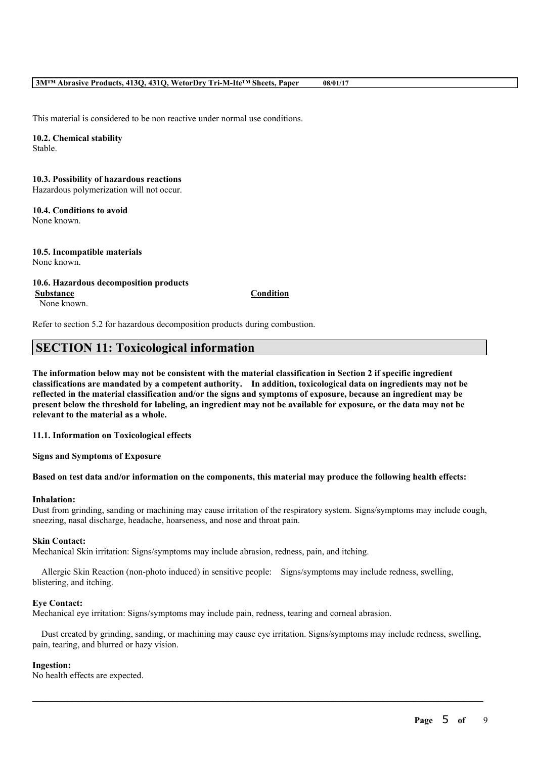This material is considered to be non reactive under normal use conditions.

#### **10.2. Chemical stability** Stable.

### **10.3. Possibility of hazardous reactions** Hazardous polymerization will not occur.

# **10.4. Conditions to avoid**

None known.

### **10.5. Incompatible materials** None known.

### **10.6. Hazardous decomposition products**

None known.

**Substance Condition**

Refer to section 5.2 for hazardous decomposition products during combustion.

# **SECTION 11: Toxicological information**

The information below may not be consistent with the material classification in Section 2 if specific ingredient **classifications are mandated by a competent authority. In addition, toxicological data on ingredients may not be** reflected in the material classification and/or the signs and symptoms of exposure, because an ingredient may be present below the threshold for labeling, an ingredient may not be available for exposure, or the data may not be **relevant to the material as a whole.**

**11.1. Information on Toxicological effects**

**Signs and Symptoms of Exposure**

### Based on test data and/or information on the components, this material may produce the following health effects:

### **Inhalation:**

Dust from grinding, sanding or machining may cause irritation of the respiratory system. Signs/symptoms may include cough, sneezing, nasal discharge, headache, hoarseness, and nose and throat pain.

### **Skin Contact:**

Mechanical Skin irritation: Signs/symptoms may include abrasion, redness, pain, and itching.

Allergic Skin Reaction (non-photo induced) in sensitive people: Signs/symptoms may include redness, swelling, blistering, and itching.

### **Eye Contact:**

Mechanical eye irritation: Signs/symptoms may include pain, redness, tearing and corneal abrasion.

Dust created by grinding, sanding, or machining may cause eye irritation. Signs/symptoms may include redness, swelling, pain, tearing, and blurred or hazy vision.

 $\mathcal{L}_\mathcal{L} = \mathcal{L}_\mathcal{L} = \mathcal{L}_\mathcal{L} = \mathcal{L}_\mathcal{L} = \mathcal{L}_\mathcal{L} = \mathcal{L}_\mathcal{L} = \mathcal{L}_\mathcal{L} = \mathcal{L}_\mathcal{L} = \mathcal{L}_\mathcal{L} = \mathcal{L}_\mathcal{L} = \mathcal{L}_\mathcal{L} = \mathcal{L}_\mathcal{L} = \mathcal{L}_\mathcal{L} = \mathcal{L}_\mathcal{L} = \mathcal{L}_\mathcal{L} = \mathcal{L}_\mathcal{L} = \mathcal{L}_\mathcal{L}$ 

### **Ingestion:**

No health effects are expected.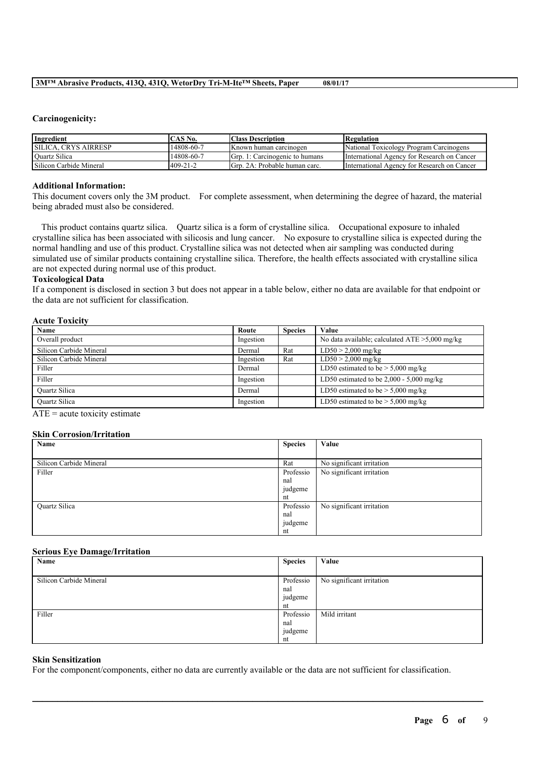### **Carcinogenicity:**

| Ingredient                  | CAS No.        | <b>Class Description</b>       | Regulation                                  |
|-----------------------------|----------------|--------------------------------|---------------------------------------------|
| <b>SILICA. CRYS AIRRESP</b> | 14808-60-7     | Known human carcinogen         | National Toxicology Program Carcinogens     |
| <b>Ouartz Silica</b>        | 14808-60-7     | Grp. 1: Carcinogenic to humans | International Agency for Research on Cancer |
| Silicon Carbide Mineral     | $409 - 21 - 2$ | Grp. 2A: Probable human carc.  | International Agency for Research on Cancer |

### **Additional Information:**

This document covers only the 3M product. For complete assessment, when determining the degree of hazard, the material being abraded must also be considered.

This product contains quartz silica. Quartz silica is a form of crystalline silica. Occupational exposure to inhaled crystalline silica has been associated with silicosis and lung cancer. No exposure to crystalline silica is expected during the normal handling and use of this product. Crystalline silica was not detected when air sampling was conducted during simulated use of similar products containing crystalline silica. Therefore, the health effects associated with crystalline silica are not expected during normal use of this product.

### **Toxicological Data**

If a component is disclosed in section 3 but does not appear in a table below, either no data are available for that endpoint or the data are not sufficient for classification.

### **Acute Toxicity**

| <b>Name</b>             | Route     | <b>Species</b> | Value                                             |
|-------------------------|-----------|----------------|---------------------------------------------------|
| Overall product         | Ingestion |                | No data available; calculated $ATE > 5,000$ mg/kg |
| Silicon Carbide Mineral | Dermal    | Rat            | $LD50 > 2,000$ mg/kg                              |
| Silicon Carbide Mineral | Ingestion | Rat            | $LD50 > 2,000$ mg/kg                              |
| Filler                  | Dermal    |                | LD50 estimated to be $>$ 5,000 mg/kg              |
| Filler                  | Ingestion |                | LD50 estimated to be $2,000 - 5,000$ mg/kg        |
| <b>Ouartz Silica</b>    | Dermal    |                | LD50 estimated to be $> 5,000$ mg/kg              |
| Ouartz Silica           | Ingestion |                | LD50 estimated to be $> 5,000$ mg/kg              |

 $ATE = acute$  toxicity estimate

### **Skin Corrosion/Irritation**

| Name                    | <b>Species</b> | Value                     |
|-------------------------|----------------|---------------------------|
|                         |                |                           |
| Silicon Carbide Mineral | Rat            | No significant irritation |
| Filler                  | Professio      | No significant irritation |
|                         | nal            |                           |
|                         | judgeme        |                           |
|                         | nt             |                           |
| Quartz Silica           | Professio      | No significant irritation |
|                         | nal            |                           |
|                         | judgeme        |                           |
|                         | nt             |                           |

### **Serious Eye Damage/Irritation**

| Name                    | <b>Species</b> | Value                     |
|-------------------------|----------------|---------------------------|
|                         |                |                           |
| Silicon Carbide Mineral | Professio      | No significant irritation |
|                         | nal            |                           |
|                         | judgeme        |                           |
|                         | nt             |                           |
| Filler                  | Professio      | Mild irritant             |
|                         | nal            |                           |
|                         | judgeme        |                           |
|                         | nt             |                           |

 $\mathcal{L}_\mathcal{L} = \mathcal{L}_\mathcal{L} = \mathcal{L}_\mathcal{L} = \mathcal{L}_\mathcal{L} = \mathcal{L}_\mathcal{L} = \mathcal{L}_\mathcal{L} = \mathcal{L}_\mathcal{L} = \mathcal{L}_\mathcal{L} = \mathcal{L}_\mathcal{L} = \mathcal{L}_\mathcal{L} = \mathcal{L}_\mathcal{L} = \mathcal{L}_\mathcal{L} = \mathcal{L}_\mathcal{L} = \mathcal{L}_\mathcal{L} = \mathcal{L}_\mathcal{L} = \mathcal{L}_\mathcal{L} = \mathcal{L}_\mathcal{L}$ 

### **Skin Sensitization**

For the component/components, either no data are currently available or the data are not sufficient for classification.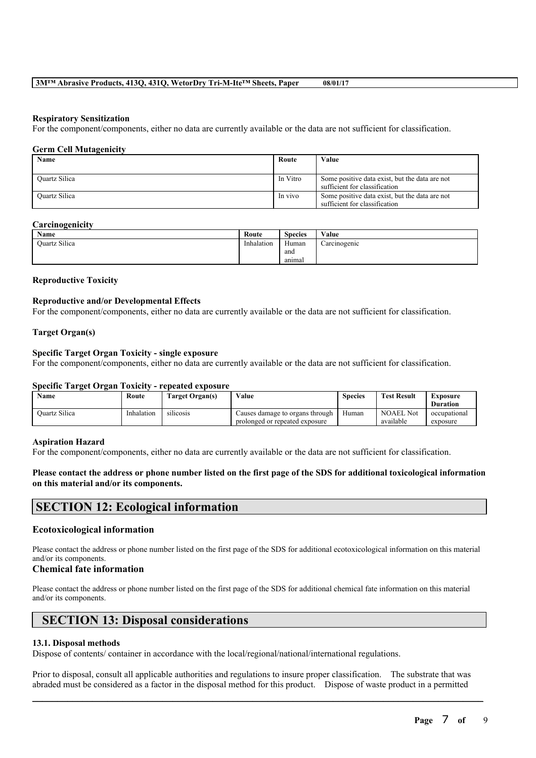### **Respiratory Sensitization**

For the component/components, either no data are currently available or the data are not sufficient for classification.

### **Germ Cell Mutagenicity**

| Name                 | Route    | Value                                                                           |
|----------------------|----------|---------------------------------------------------------------------------------|
| <b>Ouartz Silica</b> | In Vitro | Some positive data exist, but the data are not<br>sufficient for classification |
| <b>Ouartz Silica</b> | In vivo  | Some positive data exist, but the data are not<br>sufficient for classification |

#### **Carcinogenicity**

| Name          | Route      | <b>Species</b> | Value        |
|---------------|------------|----------------|--------------|
| Ouartz Silica | Inhalation | Human          | Carcinogenic |
|               |            | and            |              |
|               |            | anımal         |              |

### **Reproductive Toxicity**

### **Reproductive and/or Developmental Effects**

For the component/components, either no data are currently available or the data are not sufficient for classification.

### **Target Organ(s)**

### **Specific Target Organ Toxicity - single exposure**

For the component/components, either no data are currently available or the data are not sufficient for classification.

#### **Specific Target Organ Toxicity - repeated exposure**

| <b>Name</b>          | Route      | Target Organ(s)  | Value                           | <b>Species</b> | <b>Test Result</b> | Exposure        |
|----------------------|------------|------------------|---------------------------------|----------------|--------------------|-----------------|
|                      |            |                  |                                 |                |                    | <b>Duration</b> |
| <b>Ouartz Silica</b> | Inhalation | <b>SILICOSIS</b> | Causes damage to organs through | Human          | <b>NOAEL Not</b>   | occupational    |
|                      |            |                  | prolonged or repeated exposure  |                | available          | exposure        |

#### **Aspiration Hazard**

For the component/components, either no data are currently available or the data are not sufficient for classification.

### Please contact the address or phone number listed on the first page of the SDS for additional toxicological information **on this material and/or its components.**

### **SECTION 12: Ecological information**

### **Ecotoxicological information**

Please contact the address or phone number listed on the first page of the SDS for additional ecotoxicological information on this material and/or its components.

### **Chemical fate information**

Please contact the address or phone number listed on the first page of the SDS for additional chemical fate information on this material and/or its components.

## **SECTION 13: Disposal considerations**

### **13.1. Disposal methods**

Dispose of contents/ container in accordance with the local/regional/national/international regulations.

Prior to disposal, consult all applicable authorities and regulations to insure proper classification. The substrate that was abraded must be considered as a factor in the disposal method for this product. Dispose of waste product in a permitted

 $\mathcal{L}_\mathcal{L} = \mathcal{L}_\mathcal{L} = \mathcal{L}_\mathcal{L} = \mathcal{L}_\mathcal{L} = \mathcal{L}_\mathcal{L} = \mathcal{L}_\mathcal{L} = \mathcal{L}_\mathcal{L} = \mathcal{L}_\mathcal{L} = \mathcal{L}_\mathcal{L} = \mathcal{L}_\mathcal{L} = \mathcal{L}_\mathcal{L} = \mathcal{L}_\mathcal{L} = \mathcal{L}_\mathcal{L} = \mathcal{L}_\mathcal{L} = \mathcal{L}_\mathcal{L} = \mathcal{L}_\mathcal{L} = \mathcal{L}_\mathcal{L}$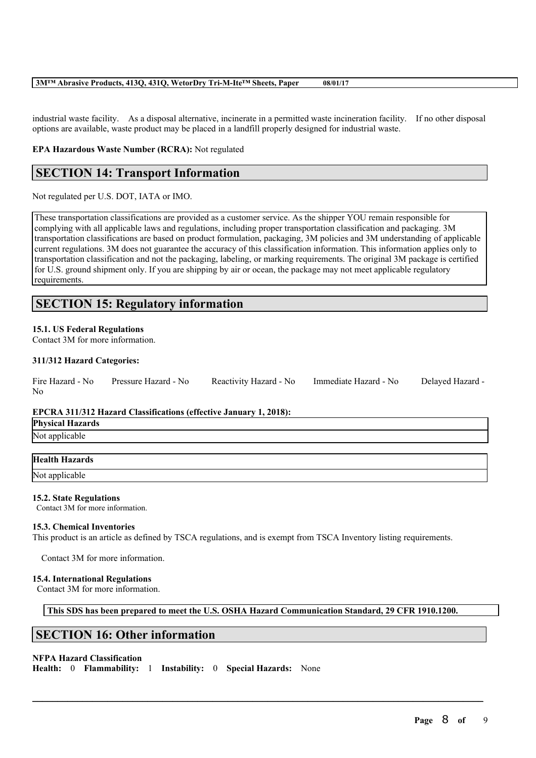industrial waste facility. As a disposal alternative, incinerate in a permitted waste incineration facility. If no other disposal options are available, waste product may be placed in a landfill properly designed for industrial waste.

### **EPA Hazardous Waste Number (RCRA):** Not regulated

## **SECTION 14: Transport Information**

Not regulated per U.S. DOT, IATA or IMO.

These transportation classifications are provided as a customer service. As the shipper YOU remain responsible for complying with all applicable laws and regulations, including proper transportation classification and packaging. 3M transportation classifications are based on product formulation, packaging, 3M policies and 3M understanding of applicable current regulations. 3M does not guarantee the accuracy of this classification information. This information applies only to transportation classification and not the packaging, labeling, or marking requirements. The original 3M package is certified for U.S. ground shipment only. If you are shipping by air or ocean, the package may not meet applicable regulatory requirements.

# **SECTION 15: Regulatory information**

### **15.1. US Federal Regulations**

Contact 3M for more information.

### **311/312 Hazard Categories:**

|    | Fire Hazard - No Pressure Hazard - No | Reactivity Hazard - No Immediate Hazard - No | Delayed Hazard - |
|----|---------------------------------------|----------------------------------------------|------------------|
| No |                                       |                                              |                  |

### **EPCRA 311/312 Hazard Classifications (effective January 1, 2018):**

**Physical Hazards** Not applicable

| <b>Health Hazards</b> |  |
|-----------------------|--|
| Not applicable        |  |

### **15.2. State Regulations**

Contact 3M for more information.

### **15.3. Chemical Inventories**

This product is an article as defined by TSCA regulations, and is exempt from TSCA Inventory listing requirements.

Contact 3M for more information.

### **15.4. International Regulations**

Contact 3M for more information.

**This SDS has been prepared to meet the U.S. OSHA Hazard Communication Standard, 29 CFR 1910.1200.**

 $\mathcal{L}_\mathcal{L} = \mathcal{L}_\mathcal{L} = \mathcal{L}_\mathcal{L} = \mathcal{L}_\mathcal{L} = \mathcal{L}_\mathcal{L} = \mathcal{L}_\mathcal{L} = \mathcal{L}_\mathcal{L} = \mathcal{L}_\mathcal{L} = \mathcal{L}_\mathcal{L} = \mathcal{L}_\mathcal{L} = \mathcal{L}_\mathcal{L} = \mathcal{L}_\mathcal{L} = \mathcal{L}_\mathcal{L} = \mathcal{L}_\mathcal{L} = \mathcal{L}_\mathcal{L} = \mathcal{L}_\mathcal{L} = \mathcal{L}_\mathcal{L}$ 

## **SECTION 16: Other information**

### **NFPA Hazard Classification**

**Health:** 0 **Flammability:** 1 **Instability:** 0 **Special Hazards:** None